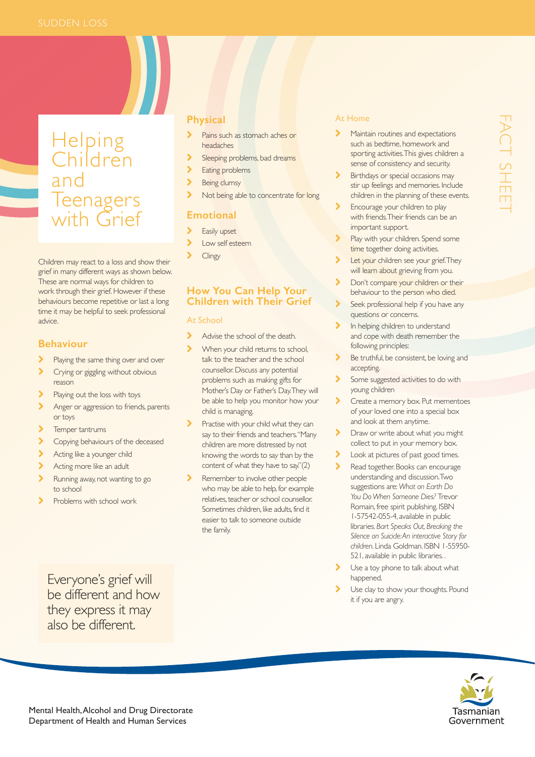# Helping Children and Teenagers with Grief

Children may react to a loss and show their grief in many different ways as shown below. These are normal ways for children to work through their grief. However if these behaviours become repetitive or last a long time it may be helpful to seek professional advice.

# **Behaviour**

- Playing the same thing over and over
- > Crying or giggling without obvious reason
- Playing out the loss with toys
- Anger or aggression to friends, parents or toys
- > Temper tantrums
- **Copying behaviours of the deceased**
- Acting like a younger child
- Acting more like an adult
- Running away, not wanting to go to school
- Problems with school work

## **Physical**

- Pains such as stomach aches or headaches
- Sleeping problems, bad dreams
- Eating problems
- Being clumsy
- Not being able to concentrate for long

# **Emotional**

- > Easily upset
- Low self esteem
- **Clingy**

# **How You Can Help Your Children with Their Grief**

#### At School

- Advise the school of the death.
- When your child returns to school, talk to the teacher and the school counsellor. Discuss any potential problems such as making gifts for Mother's Day or Father's Day. They will be able to help you monitor how your child is managing.
- Practise with your child what they can say to their friends and teachers. "Many children are more distressed by not knowing the words to say than by the content of what they have to say."(2)
- Remember to involve other people who may be able to help, for example relatives, teacher or school counsellor. Sometimes children, like adults, find it easier to talk to someone outside the family.

#### At Home

- Maintain routines and expectations such as bedtime, homework and sporting activities. This gives children a sense of consistency and security.
- Birthdays or special occasions may stir up feelings and memories. Include children in the planning of these events.
- Encourage your children to play with friends. Their friends can be an important support.
- Play with your children. Spend some time together doing activities.
- Let your children see your grief. They will learn about grieving from you.
- Don't compare your children or their behaviour to the person who died.
- Seek professional help if you have any questions or concerns.
- In helping children to understand and cope with death remember the following principles:
- Be truthful, be consistent, be loving and accepting.
- Some suggested activities to do with young children
- Create a memory box. Put mementoes of your loved one into a special box and look at them anytime.
- > Draw or write about what you might collect to put in your memory box.
- Look at pictures of past good times.
- Read together. Books can encourage understanding and discussion. Two suggestions are: *What on Earth Do You Do When Someone Dies?* Trevor Romain, free spirit publishing. ISBN 1-57542-055-4, available in public libraries. *Bart Speaks Out, Breaking the Silence on Suicide: An interactive Story for children*. Linda Goldman. ISBN 1-55950- 521, available in public libraries. .
- Use a toy phone to talk about what happened.
- Use clay to show your thoughts. Pound it if you are angry.



be different and how they express it may also be different.

Everyone's grief will